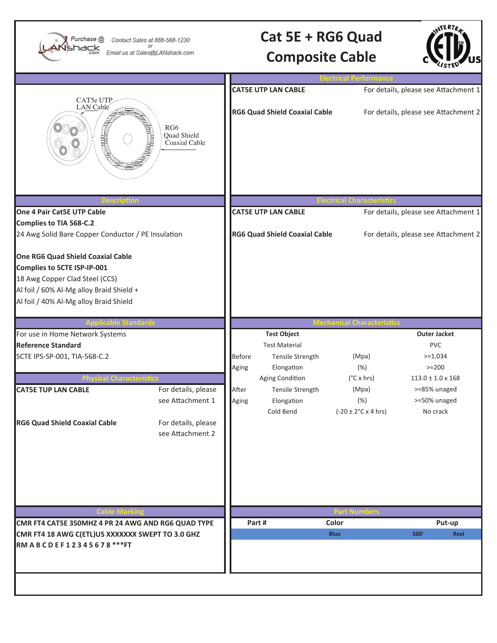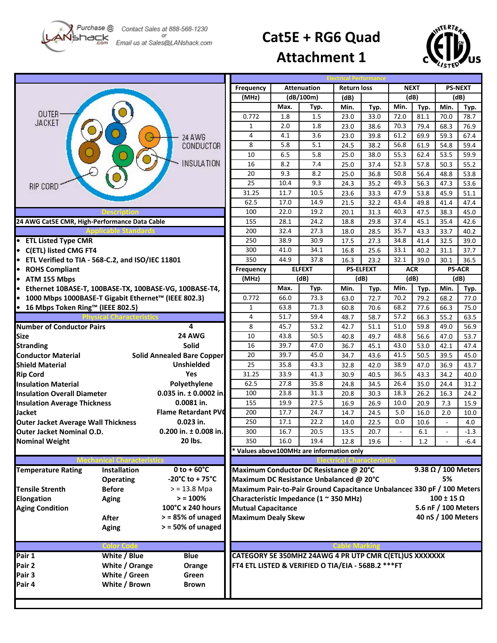Purchase @ hack

Contact Sales at 888-568-1230 Email us at Sales@LANshack.com

## **Cat5E + RG6 Quad**



**Attachment 1**

|                                                               |                     | <b>Frequency</b>                                                                         | <b>Attenuation</b>                                            |           | <b>Return loss</b> |      | <b>NEXT</b>      |                          | <b>PS-NEXT</b> |                              |               |  |
|---------------------------------------------------------------|---------------------|------------------------------------------------------------------------------------------|---------------------------------------------------------------|-----------|--------------------|------|------------------|--------------------------|----------------|------------------------------|---------------|--|
|                                                               |                     |                                                                                          | (MHz)                                                         | (dB/100m) |                    | (dB) |                  | (dB)                     |                | (dB)                         |               |  |
|                                                               |                     |                                                                                          |                                                               | Max.      | Typ.               | Min. | Typ.             | Min.                     | Typ.           | Min.                         | Typ.          |  |
| OUTER                                                         |                     |                                                                                          | 0.772                                                         | 1.8       | 1.5                | 23.0 | 33.0             | 72.0                     | 81.1           | 70.0                         | 78.7          |  |
| <b>JACKET</b>                                                 |                     |                                                                                          | 1                                                             | 2.0       | 1.8                | 23.0 | 38.6             | 70.3                     | 79.4           | 68.3                         | 76.9          |  |
|                                                               |                     | 24 AWG                                                                                   | 4                                                             | 4.1       | 3.6                | 23.0 | 39.8             | 61.2                     | 69.9           | 59.3                         | 67.4          |  |
|                                                               |                     | CONDUCTOR                                                                                | 8                                                             | 5.8       | 5.1                | 24.5 | 38.2             | 56.8                     | 61.9           | 54.8                         | 59.4          |  |
|                                                               |                     |                                                                                          | 10                                                            | 6.5       | 5.8                | 25.0 | 38.0             | 55.3                     | 62.4           | 53.5                         | 59.9          |  |
|                                                               |                     | <b>INSULATION</b>                                                                        | 16                                                            | 8.2       | 7.4                | 25.0 | 37.4             | 52.3                     | 57.8           | 50.3                         | 55.2          |  |
|                                                               |                     |                                                                                          | 20                                                            | 9.3       | 8.2                | 25.0 | 36.8             | 50.8                     | 56.4           | 48.8                         | 53.8          |  |
| RIP CORD                                                      |                     |                                                                                          | 25                                                            | 10.4      | 9.3                | 24.3 | 35.2             | 49.3                     | 56.3           | 47.3                         | 53.6          |  |
|                                                               |                     |                                                                                          | 31.25                                                         | 11.7      | 10.5               | 23.6 | 33.3             | 47.9                     | 53.8           | 45.9                         | 51.1          |  |
|                                                               |                     |                                                                                          | 62.5                                                          | 17.0      | 14.9               | 21.5 | 32.2             | 43.4                     | 49.8           | 41.4                         | 47.4          |  |
|                                                               |                     |                                                                                          | 100                                                           | 22.0      | 19.2               | 20.1 | 31.3             | 40.3                     | 47.5           | 38.3                         | 45.0          |  |
| 24 AWG Cat5E CMR, High-Performance Data Cable                 |                     |                                                                                          | 155                                                           | 28.1      | 24.2               | 18.8 | 29.8             | 37.4                     | 45.1           | 35.4                         | 42.6          |  |
|                                                               |                     |                                                                                          | 200                                                           | 32.4      | 27.3               | 18.0 | 28.5             | 35.7                     | 43.3           | 33.7                         | 40.2          |  |
| • ETL Listed Type CMR                                         |                     |                                                                                          | 250                                                           | 38.9      | 30.9               | 17.5 | 27.3             | 34.8                     | 41.4           | 32.5                         | 39.0          |  |
| • C(ETL) listed CMG FT4                                       |                     |                                                                                          | 300                                                           | 41.0      | 34.1               | 16.8 | 25.6             | 33.1                     | 40.2           | 31.1                         | 37.7          |  |
| • ETL Verified to TIA - 568-C.2, and ISO/IEC 11801            |                     |                                                                                          | 350                                                           | 44.9      | 37.8               | 16.3 | 23.2             | 32.1                     | 39.0           | 30.1                         | 36.5          |  |
| • ROHS Compliant                                              |                     |                                                                                          | Frequency                                                     |           | <b>ELFEXT</b>      |      | <b>PS-ELFEXT</b> |                          | ACR            |                              | <b>PS-ACR</b> |  |
| • ATM 155 Mbps                                                |                     |                                                                                          | (MHz)                                                         | (dB)      |                    |      | (dB)             |                          | (dB)           |                              | (dB)          |  |
| • Ethernet 10BASE-T, 100BASE-TX, 100BASE-VG, 100BASE-T4,      |                     |                                                                                          |                                                               | Max.      | Typ.               | Min. | Typ.             | Min.                     | Typ.           | Min.                         | Typ.          |  |
| ● 1000 Mbps 1000BASE-T Gigabit Ethernet™ (IEEE 802.3)         |                     |                                                                                          | 0.772                                                         | 66.0      | 73.3               | 63.0 | 72.7             | 70.2                     | 79.2           | 68.2                         | 77.0          |  |
| ● 16 Mbps Token Ring™ (IEEE 802.5)                            |                     |                                                                                          | $\mathbf{1}$                                                  | 63.8      | 71.3               | 60.8 | 70.6             | 68.2                     | 77.6           | 66.3                         | 75.0          |  |
|                                                               |                     |                                                                                          | 4                                                             | 51.7      | 59.4               | 48.7 | 58.7             | 57.2                     | 66.3           | 55.2                         | 63.5          |  |
| <b>Number of Conductor Pairs</b>                              |                     | 4                                                                                        | 8                                                             | 45.7      | 53.2               | 42.7 | 51.1             | 51.0                     | 59.8           | 49.0                         | 56.9          |  |
| <b>Size</b>                                                   |                     | 24 AWG                                                                                   | 10                                                            | 43.8      | 50.5               | 40.8 | 49.7             | 48.8                     | 56.6           | 47.0                         | 53.7          |  |
| <b>Stranding</b>                                              |                     | <b>Solid</b>                                                                             | 16                                                            | 39.7      | 47.0               | 36.7 | 45.1             | 43.0                     | 53.0           | 42.1                         | 47.4          |  |
| <b>Conductor Material</b>                                     |                     | <b>Solid Annealed Bare Copper</b>                                                        | 20                                                            | 39.7      | 45.0               | 34.7 | 43.6             | 41.5                     | 50.5           | 39.5                         | 45.0          |  |
| Shield Material                                               |                     | <b>Unshielded</b>                                                                        | 25                                                            | 35.8      | 43.3               | 32.8 | 42.0             | 38.9                     | 47.0           | 36.9                         | 43.7          |  |
| <b>Rip Cord</b>                                               |                     | Yes                                                                                      | 31.25                                                         | 33.9      | 41.3               | 30.9 | 40.5             | 36.5                     | 43.3           | 34.2                         | 40.0          |  |
| <b>Insulation Material</b>                                    |                     | Polyethylene                                                                             | 62.5                                                          | 27.8      | 35.8               | 24.8 | 34.5             | 26.4                     | 35.0           | 24.4                         | 31.2          |  |
| <b>Insulation Overall Diameter</b>                            |                     | 0.035 in. $\pm$ 0.0002 in.                                                               | 100                                                           | 23.8      | 31.3               | 20.8 | 30.3             | 18.3                     | 26.2           | 16.3                         | 24.2          |  |
| <b>Insulation Average Thickness</b>                           |                     | 0.0081 in.                                                                               | 155                                                           | 19.9      | 27.5               | 16.9 | 26.9             | 10.0                     | 20.9           | 7.3                          | 15.9          |  |
| Jacket                                                        |                     | <b>Flame Retardant PVC</b>                                                               | 200                                                           | 17.7      | 24.7               | 14.7 | 24.5             | 5.0                      | 16.0           | 2.0                          | 10.0          |  |
| <b>Outer Jacket Average Wall Thickness</b>                    |                     | 0.023 in.                                                                                | 250                                                           | 17.1      | 22.2               | 14.0 | 22.5             | 0.0                      | 10.6           |                              | 4.0           |  |
| 0.200 in. $\pm$ 0.008 in.<br><b>Outer Jacket Nominal O.D.</b> |                     |                                                                                          | 300                                                           | 16.7      | 20.5               | 13.5 | 20.7             | $\overline{\phantom{a}}$ | 6.1            | L,                           | $-1.3$        |  |
| <b>Nominal Weight</b>                                         |                     | 20 lbs.                                                                                  | 350                                                           | 16.0      | 19.4               | 12.8 | 19.6             |                          | 1.2            |                              | $-6.4$        |  |
|                                                               |                     |                                                                                          | * Values above100MHz are information only                     |           |                    |      |                  |                          |                |                              |               |  |
|                                                               |                     |                                                                                          |                                                               |           |                    |      |                  |                          |                |                              |               |  |
| <b>Temperature Rating</b>                                     | <b>Installation</b> | $0$ to +60 $^{\circ}$ C                                                                  | Maximum Conductor DC Resistance @ 20°C                        |           |                    |      |                  |                          |                | $9.38$ $\Omega$ / 100 Meters |               |  |
|                                                               | <b>Operating</b>    | $-20^{\circ}$ C to + 75 $^{\circ}$ C                                                     | 5%<br>Maximum DC Resistance Unbalanced @ 20°C                 |           |                    |      |                  |                          |                |                              |               |  |
| <b>Tensile Strenth</b>                                        | <b>Before</b>       | $>$ = 13.8 Mpa<br>Maximum Pair-to-Pair Ground Capacitance Unbalanced 330 pF / 100 Meters |                                                               |           |                    |      |                  |                          |                |                              |               |  |
| Elongation                                                    | <b>Aging</b>        | > 100%                                                                                   | $100 \pm 15 \Omega$<br>Characteristic Impedance (1 ~ 350 MHz) |           |                    |      |                  |                          |                |                              |               |  |
| <b>Aging Condition</b>                                        |                     | 100°C x 240 hours                                                                        | 5.6 nF / 100 Meters<br><b>Mutual Capacitance</b>              |           |                    |      |                  |                          |                |                              |               |  |
|                                                               | After               | $>$ = 85% of unaged                                                                      | <b>Maximum Dealy Skew</b>                                     |           |                    |      |                  |                          |                | 40 nS / 100 Meters           |               |  |
|                                                               | <b>Aging</b>        | $>$ = 50% of unaged                                                                      |                                                               |           |                    |      |                  |                          |                |                              |               |  |
|                                                               |                     |                                                                                          |                                                               |           |                    |      |                  |                          |                |                              |               |  |
|                                                               |                     |                                                                                          |                                                               |           |                    |      |                  |                          |                |                              |               |  |
| Pair 1                                                        | White / Blue        | <b>Blue</b>                                                                              | CATEGORY 5E 350MHZ 24AWG 4 PR UTP CMR C(ETL)US XXXXXXX        |           |                    |      |                  |                          |                |                              |               |  |
| Pair 2                                                        | White / Orange      | Orange                                                                                   | FT4 ETL LISTED & VERIFIED O TIA/EIA - 568B.2 *** FT           |           |                    |      |                  |                          |                |                              |               |  |
| Pair 3                                                        | White / Green       | Green                                                                                    |                                                               |           |                    |      |                  |                          |                |                              |               |  |
| Pair 4                                                        | White / Brown       | <b>Brown</b>                                                                             |                                                               |           |                    |      |                  |                          |                |                              |               |  |
|                                                               |                     |                                                                                          |                                                               |           |                    |      |                  |                          |                |                              |               |  |
|                                                               |                     |                                                                                          |                                                               |           |                    |      |                  |                          |                |                              |               |  |